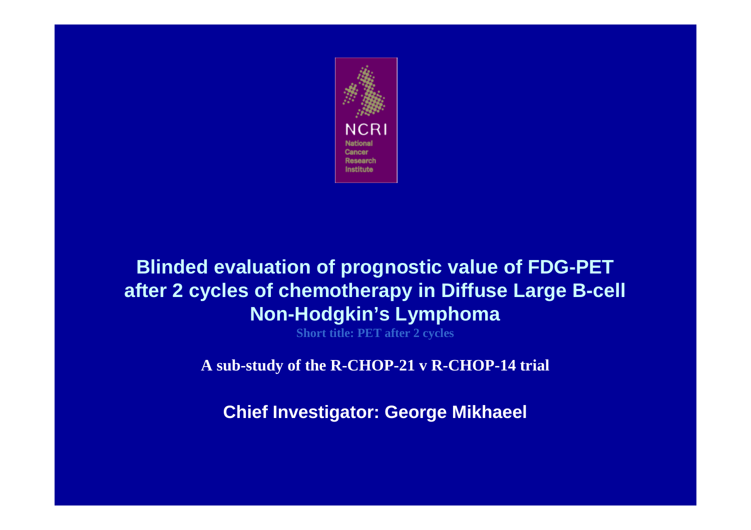

#### **Blinded evaluation of prognostic value of FDG-PET after 2 cycles of chemotherapy in Diffuse Large B-cell Non-Hodgkin's Lymphoma**

**Short title: PET after 2 cycles**

**A sub-study of the R-CHOP-21 v R-CHOP-14 trial**

**Chief Investigator: George Mikhaeel**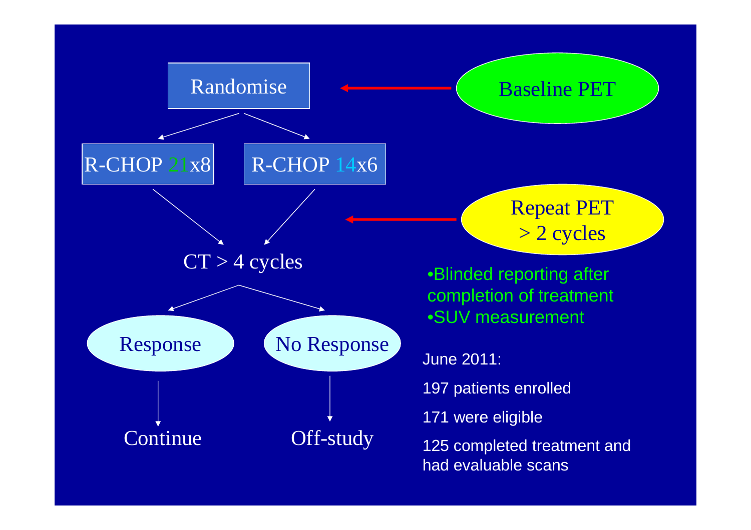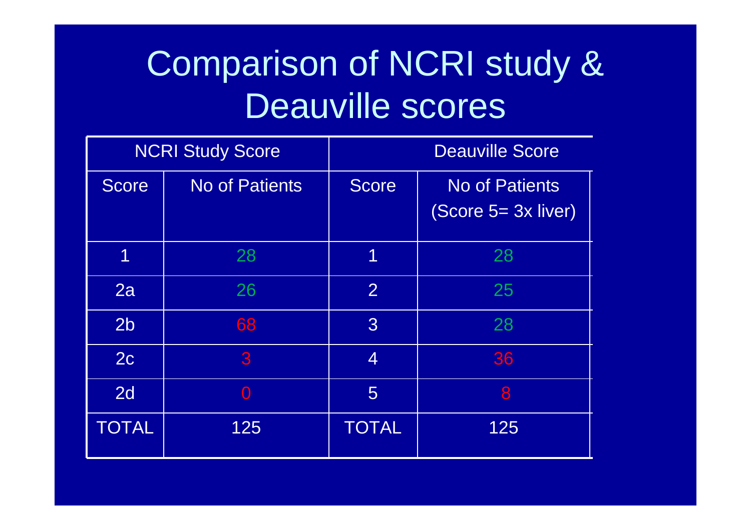# Comparison of NCRI study & Deauville scores

| <b>NCRI Study Score</b> |                       | <b>Deauville Score</b> |                                              |  |
|-------------------------|-----------------------|------------------------|----------------------------------------------|--|
| <b>Score</b>            | <b>No of Patients</b> | <b>Score</b>           | <b>No of Patients</b><br>(Score 5= 3x liver) |  |
| 1                       | 28                    | 1                      | 28                                           |  |
| 2a                      | 26                    | $\overline{2}$         | 25                                           |  |
| 2 <sub>b</sub>          | 68                    | $\overline{3}$         | 28                                           |  |
| 2c                      | 3                     | $\overline{4}$         | 36                                           |  |
| 2d                      | $\Omega$              | 5                      | 8                                            |  |
| <b>TOTAL</b>            | 125                   | <b>TOTAL</b>           | 125                                          |  |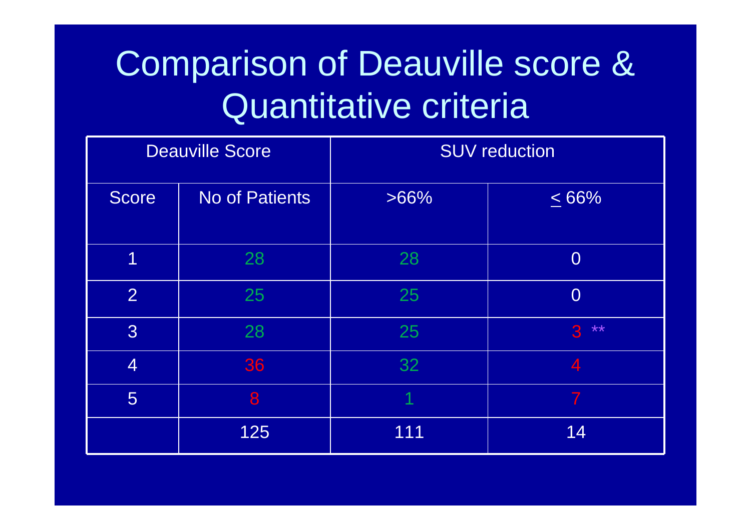# Comparison of Deauville score & Quantitative criteria

| <b>Deauville Score</b> |                | <b>SUV reduction</b> |                          |  |
|------------------------|----------------|----------------------|--------------------------|--|
| Score                  | No of Patients | $>66\%$              | $\leq 66\%$              |  |
| 1                      | 28             | 28                   | $\overline{0}$           |  |
| $\overline{2}$         | 25             | 25                   | $\overline{0}$           |  |
| 3 <sup>2</sup>         | 28             | 25                   | $***$<br>3               |  |
| $\overline{4}$         | 36             | 32                   | $\overline{\mathcal{A}}$ |  |
| 5                      | 8              |                      |                          |  |
|                        | 125            | 111                  | 14                       |  |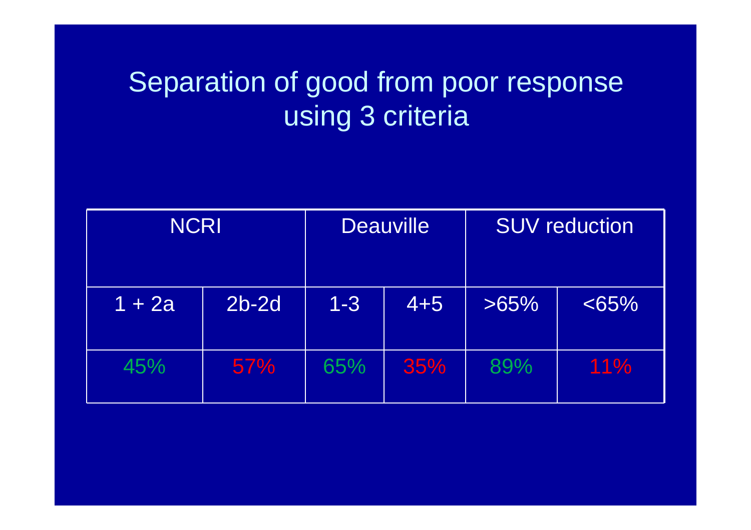#### Separation of good from poor response using 3 criteria

| <b>NCRI</b> |         | <b>Deauville</b> |         | <b>SUV reduction</b> |          |
|-------------|---------|------------------|---------|----------------------|----------|
| $1 + 2a$    | $2b-2d$ | $1 - 3$          | $4 + 5$ | $>65\%$              | $< 65\%$ |
| 45%         | 57%     | 65%              | 35%     | 89%                  | 11%      |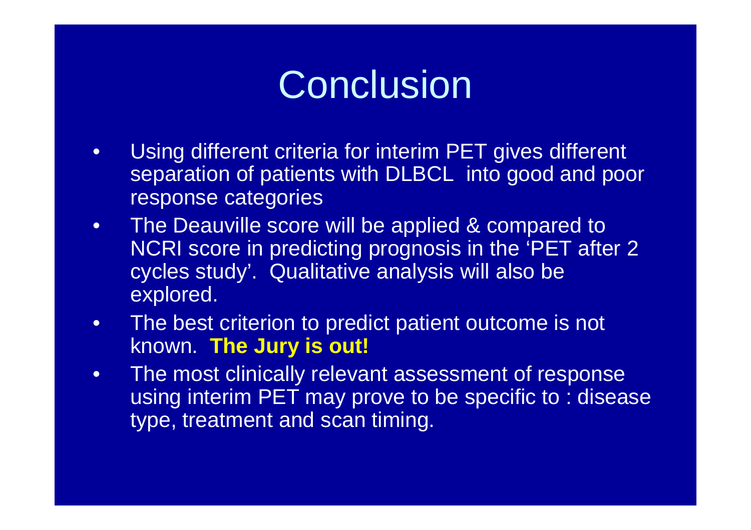### **Conclusion**

- • Using different criteria for interim PET gives different separation of patients with DLBCL into good and poor response categories
- The Deauville score will be applied & compared to •NCRI score in predicting prognosis in the 'PET after 2 cycles study'. Qualitative analysis will also be explored.
- • The best criterion to predict patient outcome is not known. **The Jury is out!**
- $\bullet$  The most clinically relevant assessment of response using interim PET may prove to be specific to : disease type, treatment and scan timing.